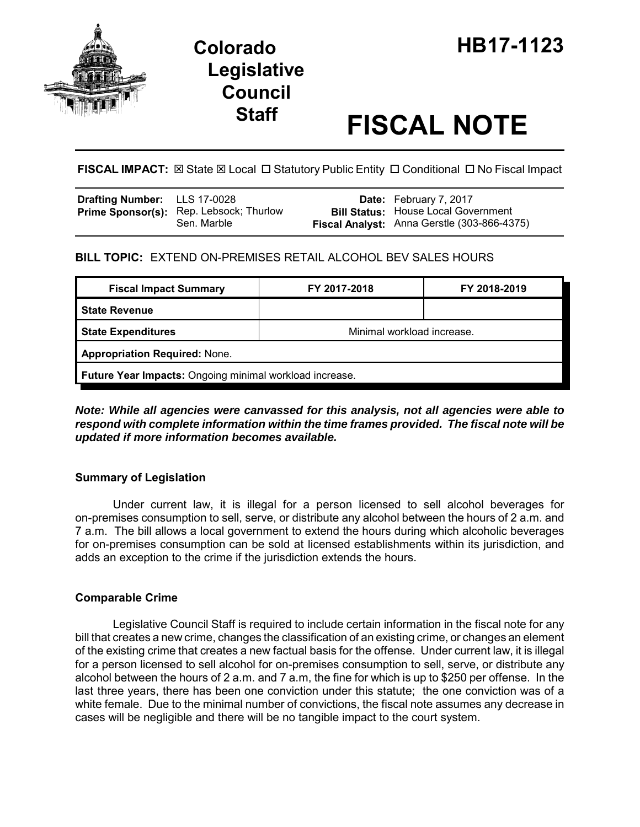

# **Legislative Council**

# **Staff FISCAL NOTE**

**FISCAL IMPACT:**  $\boxtimes$  **State**  $\boxtimes$  **Local □ Statutory Public Entity □ Conditional □ No Fiscal Impact** 

| Drafting Number: LLS 17-0028 |                                                               | <b>Date:</b> February 7, 2017                                                             |
|------------------------------|---------------------------------------------------------------|-------------------------------------------------------------------------------------------|
|                              | <b>Prime Sponsor(s):</b> Rep. Lebsock; Thurlow<br>Sen. Marble | <b>Bill Status:</b> House Local Government<br>Fiscal Analyst: Anna Gerstle (303-866-4375) |

# **BILL TOPIC:** EXTEND ON-PREMISES RETAIL ALCOHOL BEV SALES HOURS

| <b>Fiscal Impact Summary</b>                            | FY 2017-2018               | FY 2018-2019 |  |  |
|---------------------------------------------------------|----------------------------|--------------|--|--|
| <b>State Revenue</b>                                    |                            |              |  |  |
| <b>State Expenditures</b>                               | Minimal workload increase. |              |  |  |
| <b>Appropriation Required: None.</b>                    |                            |              |  |  |
| Future Year Impacts: Ongoing minimal workload increase. |                            |              |  |  |

*Note: While all agencies were canvassed for this analysis, not all agencies were able to respond with complete information within the time frames provided. The fiscal note will be updated if more information becomes available.*

# **Summary of Legislation**

Under current law, it is illegal for a person licensed to sell alcohol beverages for on-premises consumption to sell, serve, or distribute any alcohol between the hours of 2 a.m. and 7 a.m. The bill allows a local government to extend the hours during which alcoholic beverages for on-premises consumption can be sold at licensed establishments within its jurisdiction, and adds an exception to the crime if the jurisdiction extends the hours.

# **Comparable Crime**

Legislative Council Staff is required to include certain information in the fiscal note for any bill that creates a new crime, changes the classification of an existing crime, or changes an element of the existing crime that creates a new factual basis for the offense. Under current law, it is illegal for a person licensed to sell alcohol for on-premises consumption to sell, serve, or distribute any alcohol between the hours of 2 a.m. and 7 a.m, the fine for which is up to \$250 per offense. In the last three years, there has been one conviction under this statute; the one conviction was of a white female. Due to the minimal number of convictions, the fiscal note assumes any decrease in cases will be negligible and there will be no tangible impact to the court system.